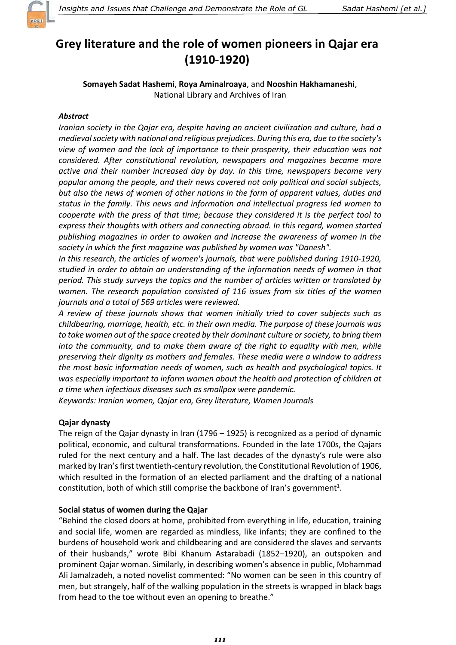

# Grey literature and the role of women pioneers in Qajar era (1910-1920)

Somayeh Sadat Hashemi, Roya Aminalroaya, and Nooshin Hakhamaneshi, National Library and Archives of Iran

# **Abstract**

Iranian society in the Qajar era, despite having an ancient civilization and culture, had a medieval society with national and religious prejudices. During this era, due to the society's view of women and the lack of importance to their prosperity, their education was not considered. After constitutional revolution, newspapers and magazines became more active and their number increased day by day. In this time, newspapers became very popular among the people, and their news covered not only political and social subjects, but also the news of women of other nations in the form of apparent values, duties and status in the family. This news and information and intellectual progress led women to cooperate with the press of that time; because they considered it is the perfect tool to express their thoughts with others and connecting abroad. In this regard, women started publishing magazines in order to awaken and increase the awareness of women in the society in which the first magazine was published by women was "Danesh".

In this research, the articles of women's journals, that were published during 1910-1920, studied in order to obtain an understanding of the information needs of women in that period. This study surveys the topics and the number of articles written or translated by women. The research population consisted of 116 issues from six titles of the women journals and a total of 569 articles were reviewed.

A review of these journals shows that women initially tried to cover subjects such as childbearing, marriage, health, etc. in their own media. The purpose of these journals was to take women out of the space created by their dominant culture or society, to bring them into the community, and to make them aware of the right to equality with men, while preserving their dignity as mothers and females. These media were a window to address the most basic information needs of women, such as health and psychological topics. It was especially important to inform women about the health and protection of children at a time when infectious diseases such as smallpox were pandemic.

Keywords: Iranian women, Qajar era, Grey literature, Women Journals

# Qajar dynasty

The reign of the Qajar dynasty in Iran (1796 – 1925) is recognized as a period of dynamic political, economic, and cultural transformations. Founded in the late 1700s, the Qajars ruled for the next century and a half. The last decades of the dynasty's rule were also marked by Iran's first twentieth-century revolution, the Constitutional Revolution of 1906, which resulted in the formation of an elected parliament and the drafting of a national constitution, both of which still comprise the backbone of Iran's government<sup>1</sup>.

# Social status of women during the Qajar

"Behind the closed doors at home, prohibited from everything in life, education, training and social life, women are regarded as mindless, like infants; they are confined to the burdens of household work and childbearing and are considered the slaves and servants of their husbands," wrote Bibi Khanum Astarabadi (1852–1920), an outspoken and prominent Qajar woman. Similarly, in describing women's absence in public, Mohammad Ali Jamalzadeh, a noted novelist commented: "No women can be seen in this country of men, but strangely, half of the walking population in the streets is wrapped in black bags from head to the toe without even an opening to breathe."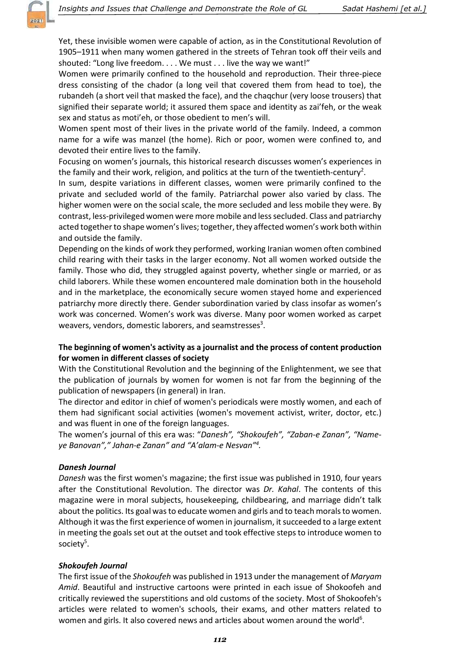

Yet, these invisible women were capable of action, as in the Constitutional Revolution of 1905–1911 when many women gathered in the streets of Tehran took off their veils and shouted: "Long live freedom. . . . We must . . . live the way we want!"

Women were primarily confined to the household and reproduction. Their three-piece dress consisting of the chador (a long veil that covered them from head to toe), the rubandeh (a short veil that masked the face), and the chaqchur (very loose trousers) that signified their separate world; it assured them space and identity as zai'feh, or the weak sex and status as moti'eh, or those obedient to men's will.

Women spent most of their lives in the private world of the family. Indeed, a common name for a wife was manzel (the home). Rich or poor, women were confined to, and devoted their entire lives to the family.

Focusing on women's journals, this historical research discusses women's experiences in the family and their work, religion, and politics at the turn of the twentieth-century<sup>2</sup>.

In sum, despite variations in different classes, women were primarily confined to the private and secluded world of the family. Patriarchal power also varied by class. The higher women were on the social scale, the more secluded and less mobile they were. By contrast, less-privileged women were more mobile and less secluded. Class and patriarchy acted together to shape women's lives; together, they affected women's work both within and outside the family.

Depending on the kinds of work they performed, working Iranian women often combined child rearing with their tasks in the larger economy. Not all women worked outside the family. Those who did, they struggled against poverty, whether single or married, or as child laborers. While these women encountered male domination both in the household and in the marketplace, the economically secure women stayed home and experienced patriarchy more directly there. Gender subordination varied by class insofar as women's work was concerned. Women's work was diverse. Many poor women worked as carpet weavers, vendors, domestic laborers, and seamstresses<sup>3</sup>.

## The beginning of women's activity as a journalist and the process of content production for women in different classes of society

With the Constitutional Revolution and the beginning of the Enlightenment, we see that the publication of journals by women for women is not far from the beginning of the publication of newspapers (in general) in Iran.

The director and editor in chief of women's periodicals were mostly women, and each of them had significant social activities (women's movement activist, writer, doctor, etc.) and was fluent in one of the foreign languages.

The women's journal of this era was: "Danesh", "Shokoufeh", "Zaban-e Zanan", "Nameye Banovan"," Jahan-e Zanan" and "A'alam-e Nesvan"<sup>4</sup> .

## Danesh Journal

Danesh was the first women's magazine; the first issue was published in 1910, four years after the Constitutional Revolution. The director was Dr. Kahal. The contents of this magazine were in moral subjects, housekeeping, childbearing, and marriage didn't talk about the politics. Its goal was to educate women and girls and to teach morals to women. Although it was the first experience of women in journalism, it succeeded to a large extent in meeting the goals set out at the outset and took effective steps to introduce women to society<sup>5</sup>.

#### Shokoufeh Journal

The first issue of the *Shokoufeh* was published in 1913 under the management of *Maryam* Amid. Beautiful and instructive cartoons were printed in each issue of Shokoofeh and critically reviewed the superstitions and old customs of the society. Most of Shokoofeh's articles were related to women's schools, their exams, and other matters related to women and girls. It also covered news and articles about women around the world<sup>6</sup>.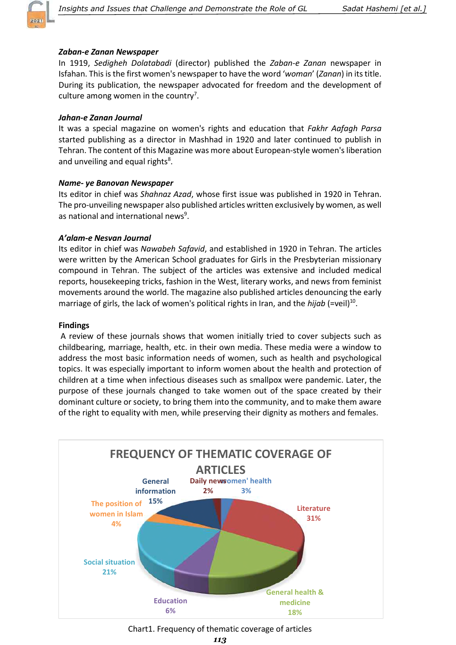

#### Zaban-e Zanan Newspaper

In 1919, Sedigheh Dolatabadi (director) published the Zaban-e Zanan newspaper in Isfahan. This is the first women's newspaper to have the word 'woman' (Zanan) in its title. During its publication, the newspaper advocated for freedom and the development of culture among women in the country<sup>7</sup>.

#### Jahan-e Zanan Journal

It was a special magazine on women's rights and education that Fakhr Aafagh Parsa started publishing as a director in Mashhad in 1920 and later continued to publish in Tehran. The content of this Magazine was more about European-style women's liberation and unveiling and equal rights<sup>8</sup>.

#### Name- ye Banovan Newspaper

Its editor in chief was Shahnaz Azad, whose first issue was published in 1920 in Tehran. The pro-unveiling newspaper also published articles written exclusively by women, as well as national and international news<sup>9</sup>.

#### A'alam-e Nesvan Journal

Its editor in chief was Nawabeh Safavid, and established in 1920 in Tehran. The articles were written by the American School graduates for Girls in the Presbyterian missionary compound in Tehran. The subject of the articles was extensive and included medical reports, housekeeping tricks, fashion in the West, literary works, and news from feminist movements around the world. The magazine also published articles denouncing the early marriage of girls, the lack of women's political rights in Iran, and the *hijab* (=veil)<sup>10</sup>.

#### Findings

 A review of these journals shows that women initially tried to cover subjects such as childbearing, marriage, health, etc. in their own media. These media were a window to address the most basic information needs of women, such as health and psychological topics. It was especially important to inform women about the health and protection of children at a time when infectious diseases such as smallpox were pandemic. Later, the purpose of these journals changed to take women out of the space created by their dominant culture or society, to bring them into the community, and to make them aware of the right to equality with men, while preserving their dignity as mothers and females.



Chart1. Frequency of thematic coverage of articles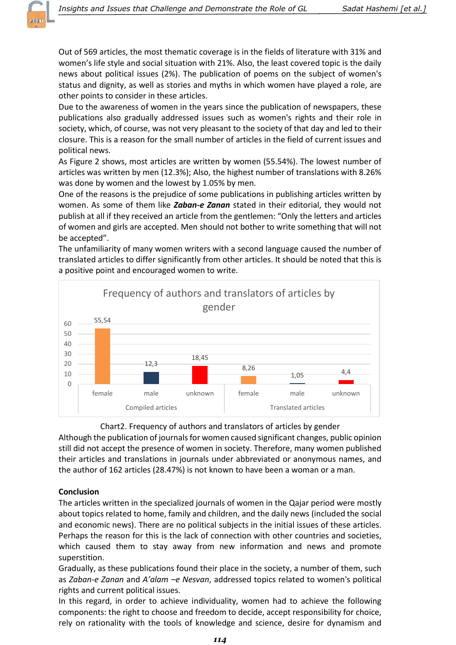

Out of 569 articles, the most thematic coverage is in the fields of literature with 31% and women's life style and social situation with 21%. Also, the least covered topic is the daily news about political issues (2%). The publication of poems on the subject of women's status and dignity, as well as stories and myths in which women have played a role, are other points to consider in these articles.

Due to the awareness of women in the years since the publication of newspapers, these publications also gradually addressed issues such as women's rights and their role in society, which, of course, was not very pleasant to the society of that day and led to their closure. This is a reason for the small number of articles in the field of current issues and political news.

As Figure 2 shows, most articles are written by women (55.54%). The lowest number of articles was written by men (12.3%); Also, the highest number of translations with 8.26% was done by women and the lowest by 1.05% by men.

One of the reasons is the prejudice of some publications in publishing articles written by women. As some of them like **Zaban-e Zanan** stated in their editorial, they would not publish at all if they received an article from the gentlemen: "Only the letters and articles of women and girls are accepted. Men should not bother to write something that will not be accepted".

The unfamiliarity of many women writers with a second language caused the number of translated articles to differ significantly from other articles. It should be noted that this is a positive point and encouraged women to write.



Chart2. Frequency of authors and translators of articles by gender

Although the publication of journals for women caused significant changes, public opinion still did not accept the presence of women in society. Therefore, many women published their articles and translations in journals under abbreviated or anonymous names, and the author of 162 articles (28.47%) is not known to have been a woman or a man.

## **Conclusion**

The articles written in the specialized journals of women in the Qajar period were mostly about topics related to home, family and children, and the daily news (included the social and economic news). There are no political subjects in the initial issues of these articles. Perhaps the reason for this is the lack of connection with other countries and societies, which caused them to stay away from new information and news and promote superstition.

Gradually, as these publications found their place in the society, a number of them, such as Zaban-e Zanan and A'alam –e Nesvan, addressed topics related to women's political rights and current political issues.

In this regard, in order to achieve individuality, women had to achieve the following components: the right to choose and freedom to decide, accept responsibility for choice, rely on rationality with the tools of knowledge and science, desire for dynamism and